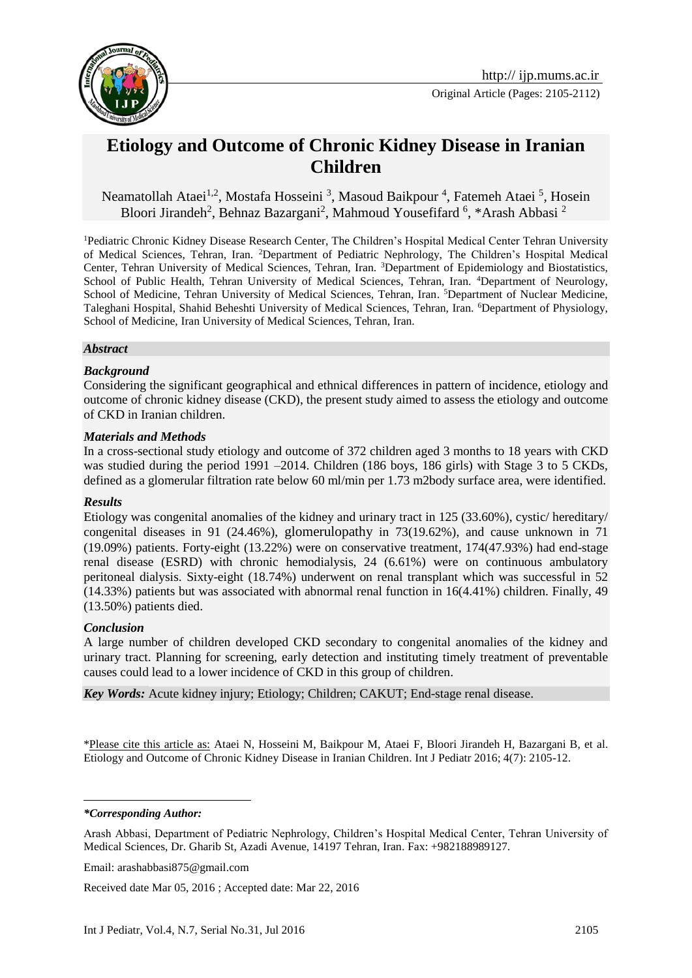

# **Etiology and Outcome of Chronic Kidney Disease in Iranian Children**

Neamatollah Ataei<sup>1,2</sup>, Mostafa Hosseini<sup>3</sup>, Masoud Baikpour<sup>4</sup>, Fatemeh Ataei<sup>5</sup>, Hosein Bloori Jirandeh<sup>2</sup>, Behnaz Bazargani<sup>2</sup>, Mahmoud Yousefifard<sup>6</sup>, \*Arash Abbasi<sup>2</sup>

<sup>1</sup>Pediatric Chronic Kidney Disease Research Center, The Children's Hospital Medical Center Tehran University of Medical Sciences, Tehran, Iran. <sup>2</sup>Department of Pediatric Nephrology, The Children's Hospital Medical Center, Tehran University of Medical Sciences, Tehran, Iran. <sup>3</sup>Department of Epidemiology and Biostatistics, School of Public Health, Tehran University of Medical Sciences, Tehran, Iran. <sup>4</sup>Department of Neurology, School of Medicine, Tehran University of Medical Sciences, Tehran, Iran. <sup>5</sup>Department of Nuclear Medicine, Taleghani Hospital, Shahid Beheshti University of Medical Sciences, Tehran, Iran. <sup>6</sup>Department of Physiology, School of Medicine, Iran University of Medical Sciences, Tehran, Iran.

#### *Abstract*

#### *Background*

Considering the significant geographical and ethnical differences in pattern of incidence, etiology and outcome of chronic kidney disease (CKD), the present study aimed to assess the etiology and outcome of CKD in Iranian children.

#### *Materials and Methods*

In a cross-sectional study etiology and outcome of 372 children aged 3 months to 18 years with CKD was studied during the period 1991 –2014. Children (186 boys, 186 girls) with Stage 3 to 5 CKDs, defined as a glomerular filtration rate below 60 ml/min per 1.73 m2body surface area, were identified.

#### *Results*

Etiology was congenital anomalies of the kidney and urinary tract in 125 (33.60%), cystic/ hereditary/ congenital diseases in 91 (24.46%), glomerulopathy in 73(19.62%), and cause unknown in 71 (19.09%) patients. Forty-eight (13.22%) were on conservative treatment, 174(47.93%) had end-stage renal disease (ESRD) with chronic hemodialysis, 24 (6.61%) were on continuous ambulatory peritoneal dialysis. Sixty-eight (18.74%) underwent on renal transplant which was successful in 52 (14.33%) patients but was associated with abnormal renal function in 16(4.41%) children. Finally, 49 (13.50%) patients died.

#### *Conclusion*

A large number of children developed CKD secondary to congenital anomalies of the kidney and urinary tract. Planning for screening, early detection and instituting timely treatment of preventable causes could lead to a lower incidence of CKD in this group of children.

*Key Words:* Acute kidney injury; Etiology; Children; CAKUT; End-stage renal disease.

\*Please cite this article as: Ataei N, Hosseini M, Baikpour M, Ataei F, Bloori Jirandeh H, Bazargani B, et al. Etiology and Outcome of Chronic Kidney Disease in Iranian Children. Int J Pediatr 2016; 4(7): 2105-12.

*\*Corresponding Author:*

<u>.</u>

Received date Mar 05, 2016 ; Accepted date: Mar 22, 2016

Arash Abbasi, Department of Pediatric Nephrology, Children's Hospital Medical Center, Tehran University of Medical Sciences, Dr. Gharib St, Azadi Avenue, 14197 Tehran, Iran. Fax: +982188989127.

Email: [arashabbasi875@gmail.com](mailto:arashabbasi875@gmail.com)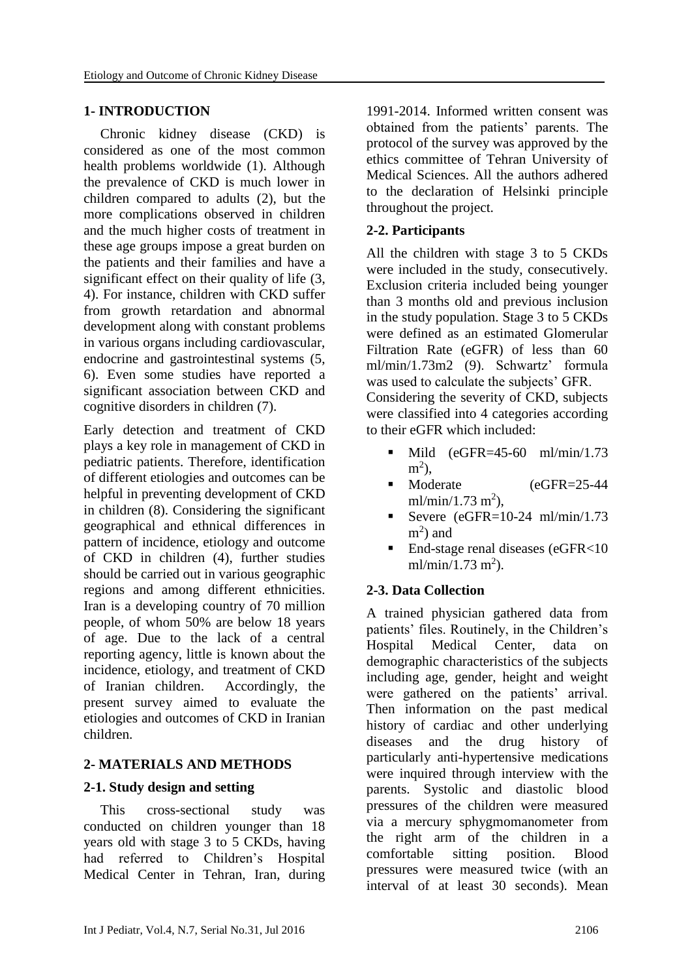## **1- INTRODUCTION**

Chronic kidney disease (CKD) is considered as one of the most common health problems worldwide (1). Although the prevalence of CKD is much lower in children compared to adults (2), but the more complications observed in children and the much higher costs of treatment in these age groups impose a great burden on the patients and their families and have a significant effect on their quality of life (3, 4). For instance, children with CKD suffer from growth retardation and abnormal development along with constant problems in various organs including cardiovascular, endocrine and gastrointestinal systems (5, 6). Even some studies have reported a significant association between CKD and cognitive disorders in children (7).

Early detection and treatment of CKD plays a key role in management of CKD in pediatric patients. Therefore, identification of different etiologies and outcomes can be helpful in preventing development of CKD in children (8). Considering the significant geographical and ethnical differences in pattern of incidence, etiology and outcome of CKD in children (4), further studies should be carried out in various geographic regions and among different ethnicities. Iran is a developing country of 70 million people, of whom 50% are below 18 years of age. Due to the lack of a central reporting agency, little is known about the incidence, etiology, and treatment of CKD of Iranian children. Accordingly, the present survey aimed to evaluate the etiologies and outcomes of CKD in Iranian children.

## **2- MATERIALS AND METHODS**

### **2-1. Study design and setting**

This cross-sectional study was conducted on children younger than 18 years old with stage 3 to 5 CKDs, having had referred to Children's Hospital Medical Center in Tehran, Iran, during 1991-2014. Informed written consent was obtained from the patients' parents. The protocol of the survey was approved by the ethics committee of Tehran University of Medical Sciences. All the authors adhered to the declaration of Helsinki principle throughout the project.

# **2-2. Participants**

All the children with stage 3 to 5 CKDs were included in the study, consecutively. Exclusion criteria included being younger than 3 months old and previous inclusion in the study population. Stage 3 to 5 CKDs were defined as an estimated Glomerular Filtration Rate (eGFR) of less than 60 ml/min/1.73m2 (9). Schwartz' formula was used to calculate the subjects' GFR. Considering the severity of CKD, subjects were classified into 4 categories according to their eGFR which included:

- $\blacksquare$  Mild (eGFR=45-60 ml/min/1.73)  $m^2$ ),
- Moderate (eGFR=25-44) ml/min/1.73 m<sup>2</sup>),
- Severe (eGFR=10-24 ml/min/1.73  $m<sup>2</sup>$ ) and
- End-stage renal diseases (eGFR<10  $ml/min/1.73 m<sup>2</sup>$ ).

## **2-3. Data Collection**

A trained physician gathered data from patients' files. Routinely, in the Children's Hospital Medical Center, data on demographic characteristics of the subjects including age, gender, height and weight were gathered on the patients' arrival. Then information on the past medical history of cardiac and other underlying diseases and the drug history of particularly anti-hypertensive medications were inquired through interview with the parents. Systolic and diastolic blood pressures of the children were measured via a mercury sphygmomanometer from the right arm of the children in a comfortable sitting position. Blood pressures were measured twice (with an interval of at least 30 seconds). Mean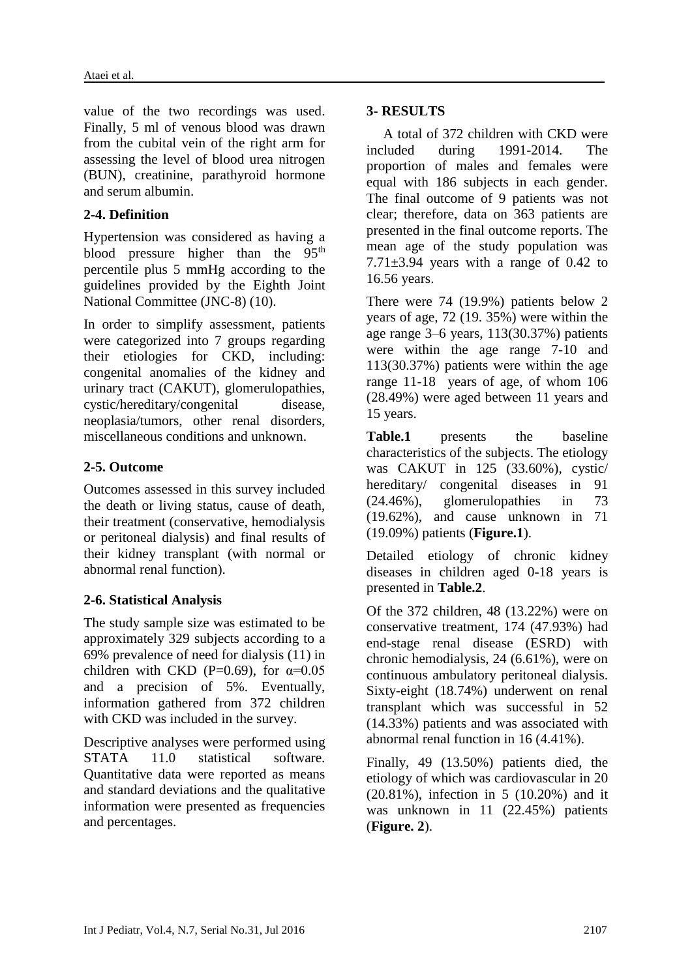value of the two recordings was used. Finally, 5 ml of venous blood was drawn from the cubital vein of the right arm for assessing the level of blood urea nitrogen (BUN), creatinine, parathyroid hormone and serum albumin.

### **2-4. Definition**

Hypertension was considered as having a blood pressure higher than the 95<sup>th</sup> percentile plus 5 mmHg according to the guidelines provided by the Eighth Joint National Committee (JNC-8) (10).

In order to simplify assessment, patients were categorized into 7 groups regarding their etiologies for CKD, including: congenital anomalies of the kidney and urinary tract (CAKUT), glomerulopathies, cystic/hereditary/congenital disease, neoplasia/tumors, other renal disorders, miscellaneous conditions and unknown.

### **2-5. Outcome**

Outcomes assessed in this survey included the death or living status, cause of death, their treatment (conservative, hemodialysis or peritoneal dialysis) and final results of their kidney transplant (with normal or abnormal renal function).

### **2-6. Statistical Analysis**

The study sample size was estimated to be approximately 329 subjects according to a 69% prevalence of need for dialysis (11) in children with CKD (P=0.69), for  $\alpha$ =0.05 and a precision of 5%. Eventually, information gathered from 372 children with CKD was included in the survey.

Descriptive analyses were performed using STATA 11.0 statistical software. Quantitative data were reported as means and standard deviations and the qualitative information were presented as frequencies and percentages.

#### **3- RESULTS**

A total of 372 children with CKD were included during 1991-2014. The proportion of males and females were equal with 186 subjects in each gender. The final outcome of 9 patients was not clear; therefore, data on 363 patients are presented in the final outcome reports. The mean age of the study population was  $7.71\pm3.94$  years with a range of 0.42 to 16.56 years.

There were 74 (19.9%) patients below 2 years of age, 72 (19. 35%) were within the age range 3–6 years, 113(30.37%) patients were within the age range 7-10 and 113(30.37%) patients were within the age range 11-18 years of age, of whom 106 (28.49%) were aged between 11 years and 15 years.

**Table.1** presents the baseline characteristics of the subjects. The etiology was CAKUT in 125 (33.60%), cystic/ hereditary/ congenital diseases in 91 (24.46%), glomerulopathies in 73 (19.62%), and cause unknown in 71 (19.09%) patients (**Figure.1**).

Detailed etiology of chronic kidney diseases in children aged 0-18 years is presented in **Table.2**.

Of the 372 children, 48 (13.22%) were on conservative treatment, 174 (47.93%) had end-stage renal disease (ESRD) with chronic hemodialysis, 24 (6.61%), were on continuous ambulatory peritoneal dialysis. Sixty-eight (18.74%) underwent on renal transplant which was successful in 52 (14.33%) patients and was associated with abnormal renal function in 16 (4.41%).

Finally, 49 (13.50%) patients died, the etiology of which was cardiovascular in 20 (20.81%), infection in 5 (10.20%) and it was unknown in 11 (22.45%) patients (**Figure. 2**).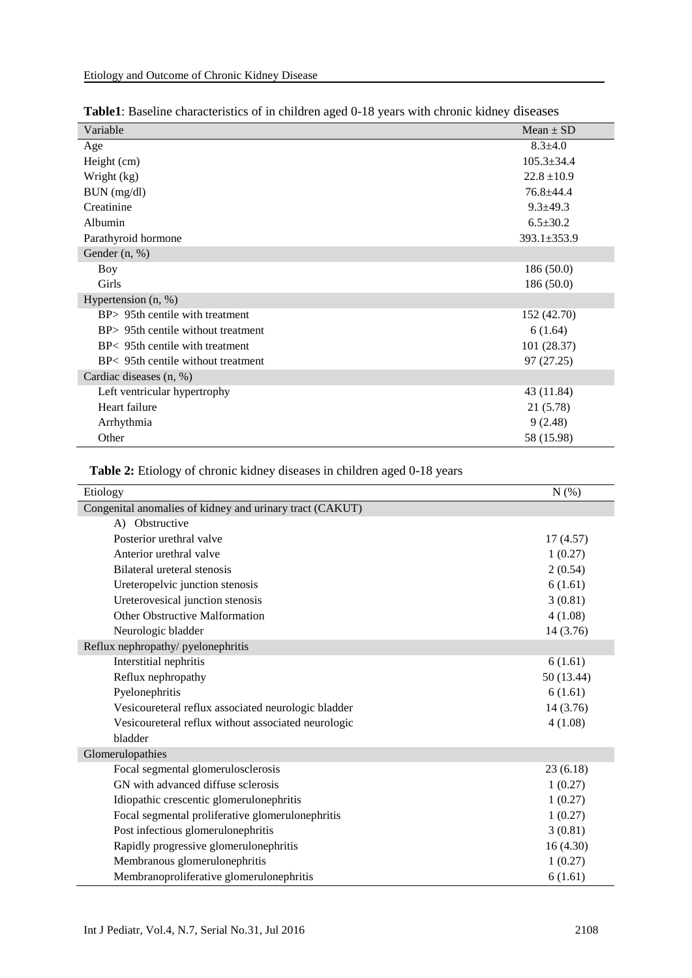| Variable                           | $Mean \pm SD$    |
|------------------------------------|------------------|
| Age                                | $8.3 + 4.0$      |
| Height (cm)                        | $105.3 \pm 34.4$ |
| Wright (kg)                        | $22.8 \pm 10.9$  |
| BUN (mg/dl)                        | 76.8±44.4        |
| Creatinine                         | $9.3 \pm 49.3$   |
| Albumin                            | $6.5 \pm 30.2$   |
| Parathyroid hormone                | 393.1±353.9      |
| Gender (n, %)                      |                  |
| Boy                                | 186(50.0)        |
| Girls                              | 186(50.0)        |
| Hypertension $(n, %)$              |                  |
| BP> 95th centile with treatment    | 152 (42.70)      |
| BP> 95th centile without treatment | 6(1.64)          |
| BP< 95th centile with treatment    | 101 (28.37)      |
| BP< 95th centile without treatment | 97 (27.25)       |
| Cardiac diseases (n, %)            |                  |
| Left ventricular hypertrophy       | 43 (11.84)       |
| Heart failure                      | 21 (5.78)        |
| Arrhythmia                         | 9(2.48)          |
| Other                              | 58 (15.98)       |

# **Table 2:** Etiology of chronic kidney diseases in children aged 0-18 years

| Etiology                                                 | N(%)       |
|----------------------------------------------------------|------------|
| Congenital anomalies of kidney and urinary tract (CAKUT) |            |
| A) Obstructive                                           |            |
| Posterior urethral valve                                 | 17(4.57)   |
| Anterior urethral valve                                  | 1(0.27)    |
| Bilateral ureteral stenosis                              | 2(0.54)    |
| Ureteropelvic junction stenosis                          | 6(1.61)    |
| Ureterovesical junction stenosis                         | 3(0.81)    |
| <b>Other Obstructive Malformation</b>                    | 4(1.08)    |
| Neurologic bladder                                       | 14 (3.76)  |
| Reflux nephropathy/ pyelonephritis                       |            |
| Interstitial nephritis                                   | 6(1.61)    |
| Reflux nephropathy                                       | 50 (13.44) |
| Pyelonephritis                                           | 6(1.61)    |
| Vesicoureteral reflux associated neurologic bladder      | 14 (3.76)  |
| Vesicoureteral reflux without associated neurologic      | 4(1.08)    |
| bladder                                                  |            |
| Glomerulopathies                                         |            |
| Focal segmental glomerulosclerosis                       | 23(6.18)   |
| GN with advanced diffuse sclerosis                       | 1(0.27)    |
| Idiopathic crescentic glomerulonephritis                 | 1(0.27)    |
| Focal segmental proliferative glomerulonephritis         | 1(0.27)    |
| Post infectious glomerulonephritis                       | 3(0.81)    |
| Rapidly progressive glomerulonephritis                   | 16(4.30)   |
| Membranous glomerulonephritis                            | 1(0.27)    |
| Membranoproliferative glomerulonephritis                 | 6(1.61)    |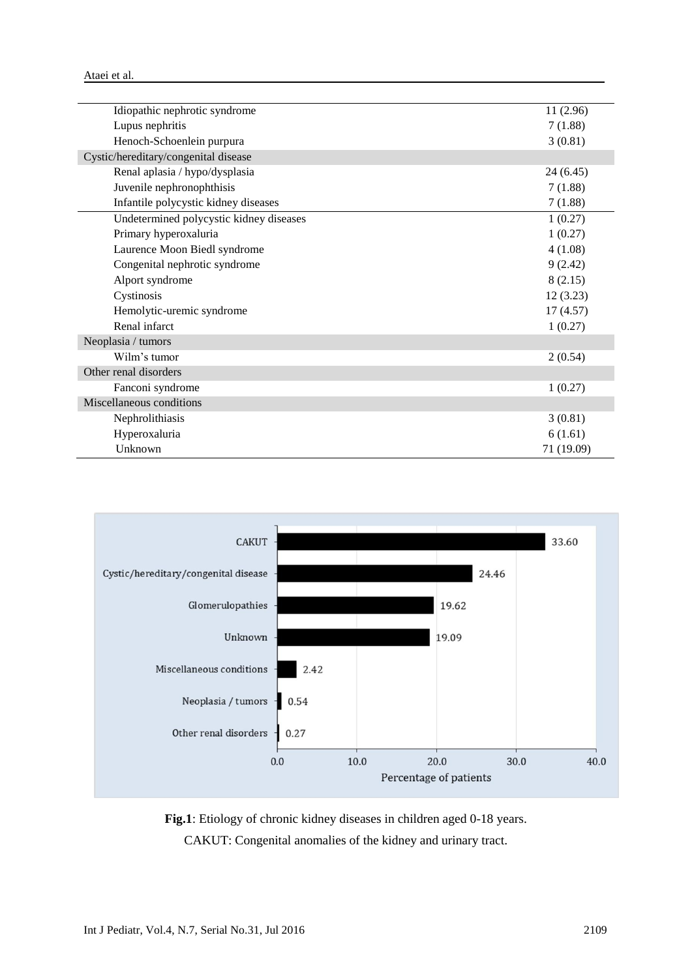| 11 (2.96)  |
|------------|
| 7(1.88)    |
| 3(0.81)    |
|            |
| 24(6.45)   |
| 7(1.88)    |
| 7(1.88)    |
| 1(0.27)    |
| 1(0.27)    |
| 4(1.08)    |
| 9(2.42)    |
| 8(2.15)    |
| 12(3.23)   |
| 17(4.57)   |
| 1(0.27)    |
|            |
| 2(0.54)    |
|            |
| 1(0.27)    |
|            |
| 3(0.81)    |
| 6(1.61)    |
| 71 (19.09) |
|            |



**Fig.1**: Etiology of chronic kidney diseases in children aged 0-18 years. CAKUT: Congenital anomalies of the kidney and urinary tract.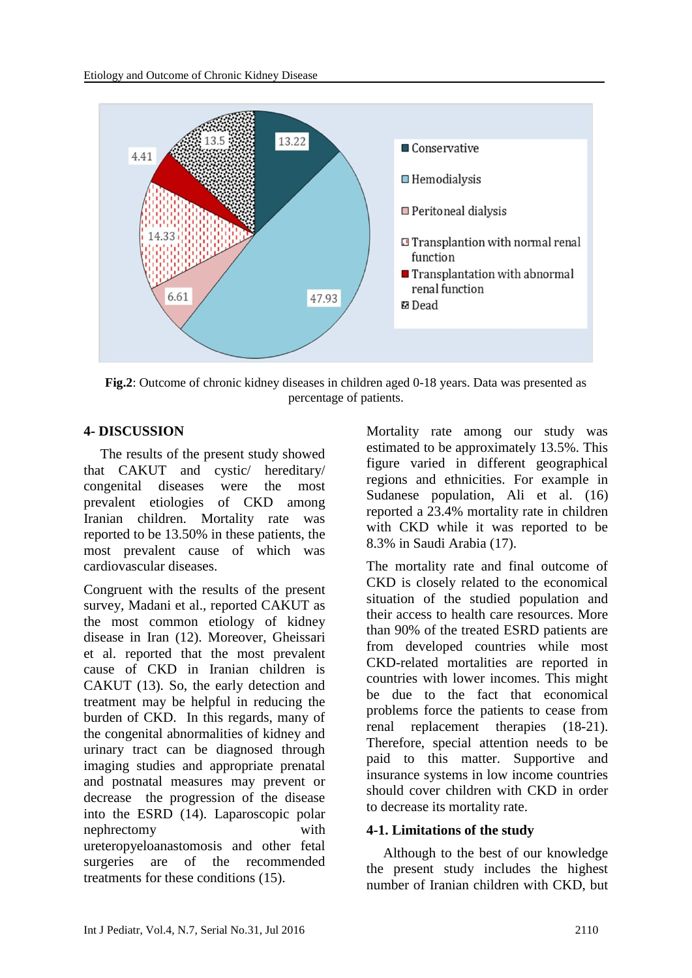

**Fig.2**: Outcome of chronic kidney diseases in children aged 0-18 years. Data was presented as percentage of patients.

## **4- DISCUSSION**

The results of the present study showed that CAKUT and cystic/ hereditary/ congenital diseases were the most prevalent etiologies of CKD among Iranian children. Mortality rate was reported to be 13.50% in these patients, the most prevalent cause of which was cardiovascular diseases.

Congruent with the results of the present survey, Madani et al., reported CAKUT as the most common etiology of kidney disease in Iran (12). Moreover, Gheissari et al. reported that the most prevalent cause of CKD in Iranian children is CAKUT (13). So, the early detection and treatment may be helpful in reducing the burden of CKD. In this regards, many of the congenital abnormalities of kidney and urinary tract can be diagnosed through imaging studies and appropriate prenatal and postnatal measures may prevent or decrease the progression of the disease into the ESRD (14). Laparoscopic polar nephrectomy with ureteropyeloanastomosis and other fetal surgeries are of the recommended treatments for these conditions (15).

Mortality rate among our study was estimated to be approximately 13.5%. This figure varied in different geographical regions and ethnicities. For example in Sudanese population, Ali et al. (16) reported a 23.4% mortality rate in children with CKD while it was reported to be 8.3% in Saudi Arabia (17).

The mortality rate and final outcome of CKD is closely related to the economical situation of the studied population and their access to health care resources. More than 90% of the treated ESRD patients are from developed countries while most CKD-related mortalities are reported in countries with lower incomes. This might be due to the fact that economical problems force the patients to cease from renal replacement therapies (18-21). Therefore, special attention needs to be paid to this matter. Supportive and insurance systems in low income countries should cover children with CKD in order to decrease its mortality rate.

### **4-1. Limitations of the study**

Although to the best of our knowledge the present study includes the highest number of Iranian children with CKD, but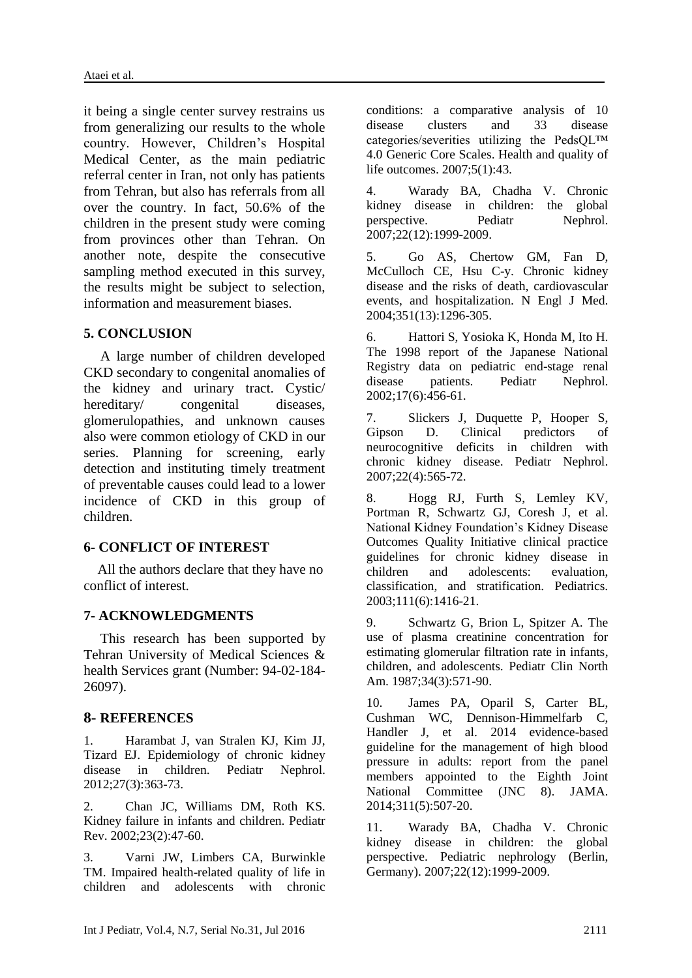it being a single center survey restrains us from generalizing our results to the whole country. However, Children's Hospital Medical Center, as the main pediatric referral center in Iran, not only has patients from Tehran, but also has referrals from all over the country. In fact, 50.6% of the children in the present study were coming from provinces other than Tehran. On another note, despite the consecutive sampling method executed in this survey, the results might be subject to selection, information and measurement biases.

### **5. CONCLUSION**

A large number of children developed CKD secondary to congenital anomalies of the kidney and urinary tract. Cystic/ hereditary/ congenital diseases. glomerulopathies, and unknown causes also were common etiology of CKD in our series. Planning for screening, early detection and instituting timely treatment of preventable causes could lead to a lower incidence of CKD in this group of children.

## **6- CONFLICT OF INTEREST**

 All the authors declare that they have no conflict of interest.

### **7- ACKNOWLEDGMENTS**

This research has been supported by Tehran University of Medical Sciences & health Services grant (Number: 94-02-184- 26097).

## **8- REFERENCES**

1. Harambat J, van Stralen KJ, Kim JJ, Tizard EJ. Epidemiology of chronic kidney disease in children. Pediatr Nephrol. 2012;27(3):363-73.

2. Chan JC, Williams DM, Roth KS. Kidney failure in infants and children. Pediatr Rev. 2002;23(2):47-60.

3. Varni JW, Limbers CA, Burwinkle TM. Impaired health-related quality of life in children and adolescents with chronic conditions: a comparative analysis of 10 disease clusters and 33 disease categories/severities utilizing the PedsQL™ 4.0 Generic Core Scales. Health and quality of life outcomes. 2007;5(1):43.

4. Warady BA, Chadha V. Chronic kidney disease in children: the global perspective. Pediatr Nephrol. 2007;22(12):1999-2009.

5. Go AS, Chertow GM, Fan D, McCulloch CE, Hsu C-y. Chronic kidney disease and the risks of death, cardiovascular events, and hospitalization. N Engl J Med. 2004;351(13):1296-305.

6. Hattori S, Yosioka K, Honda M, Ito H. The 1998 report of the Japanese National Registry data on pediatric end-stage renal disease patients. Pediatr Nephrol. 2002;17(6):456-61.

7. Slickers J, Duquette P, Hooper S, Gipson D. Clinical predictors of neurocognitive deficits in children with chronic kidney disease. Pediatr Nephrol. 2007;22(4):565-72.

8. Hogg RJ, Furth S, Lemley KV, Portman R, Schwartz GJ, Coresh J, et al. National Kidney Foundation's Kidney Disease Outcomes Quality Initiative clinical practice guidelines for chronic kidney disease in children and adolescents: evaluation classification, and stratification. Pediatrics. 2003;111(6):1416-21.

9. Schwartz G, Brion L, Spitzer A. The use of plasma creatinine concentration for estimating glomerular filtration rate in infants, children, and adolescents. Pediatr Clin North Am. 1987;34(3):571-90.

10. James PA, Oparil S, Carter BL, Cushman WC, Dennison-Himmelfarb C, Handler J, et al. 2014 evidence-based guideline for the management of high blood pressure in adults: report from the panel members appointed to the Eighth Joint National Committee (JNC 8). JAMA. 2014;311(5):507-20.

11. Warady BA, Chadha V. Chronic kidney disease in children: the global perspective. Pediatric nephrology (Berlin, Germany). 2007;22(12):1999-2009.